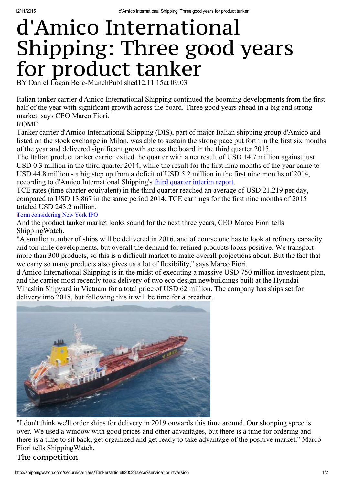## d'Amico International Shipping: Three good years for product tanker BY Daniel Logan Berg-MunchPublished12.11.15at 09:03

Italian tanker carrier d'Amico International Shipping continued the booming developments from the first half of the year with significant growth across the board. Three good years ahead in a big and strong market, says CEO Marco Fiori.

## ROME

Tanker carrier d'Amico International Shipping (DIS), part of major Italian shipping group d'Amico and listed on the stock exchange in Milan, was able to sustain the strong pace put forth in the first six months of the year and delivered significant growth across the board in the third quarter 2015.

The Italian product tanker carrier exited the quarter with a net result of USD 14.7 million against just USD 0.3 million in the third quarter 2014, while the result for the first nine months of the year came to USD 44.8 million - a big step up from a deficit of USD 5.2 million in the first nine months of 2014, according to d'Amico International Shipping's third quarter [interim](http://investorrelations.damicointernationalshipping.com/files/investitori/assemblea_dei_soci/bilancierelazioni/DIS_9M_2015_Interim%20Management%20Statements.pdf) report.

TCE rates (time charter equivalent) in the third quarter reached an average of USD 21,219 per day, compared to USD 13,867 in the same period 2014. TCE earnings for the first nine months of 2015 totaled USD 243.2 million.

Torm [considering](http://shippingwatch.com/eceRedirect?articleId=8201884) New York IPO

And the product tanker market looks sound for the next three years, CEO Marco Fiori tells ShippingWatch.

"A smaller number of ships will be delivered in 2016, and of course one has to look at refinery capacity and ton-mile developments, but overall the demand for refined products looks positive. We transport more than 300 products, so this is a difficult market to make overall projections about. But the fact that we carry so many products also gives us a lot of flexibility," says Marco Fiori.

d'Amico International Shipping is in the midst of executing a massive USD 750 million investment plan, and the carrier most recently took delivery of two eco-design newbuildings built at the Hyundai Vinashin Shipyard in Vietnam for a total price of USD 62 million. The company has ships set for delivery into 2018, but following this it will be time for a breather.



"I don't think we'll order ships for delivery in 2019 onwards this time around. Our shopping spree is over. We used a window with good prices and other advantages, but there is a time for ordering and there is a time to sit back, get organized and get ready to take advantage of the positive market," Marco Fiori tells ShippingWatch.

## The competition